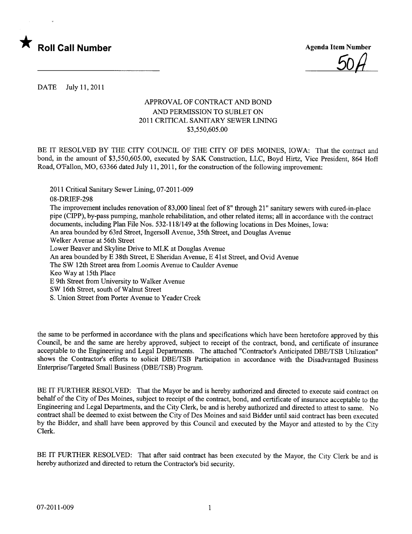

50/1

DATE July 11,2011

## APPROVAL OF CONTRACT AND BOND AND PERMISSION TO SUBLET ON 2011 CRITICAL SANITARY SEWER LINING \$3,550,605.00

BE IT RESOLVED BY THE CITY COUNCIL OF THE CITY OF DES MOINES, IOWA: That the contract and bond, in the amount of \$3,550,605.00, executed by SAK Construction, LLC, Boyd Hirtz, Vice President, 864 Hoff Road, O'Fallon, MO, 63366 dated July 11,2011, for the construction of the following improvement:

2011 Critical Sanitary Sewer Lining, 07-2011-009 08-DRIEF-298 The improvement includes renovation of 83,000 lineal feet of 8" through 21" sanitary sewers with cured-in-place pipe (CIPP), by-pass pumping, manhole rehabilitation, and other related items; all in accordance with the contract documents, including Plan File Nos. 532-118/149 at the following locations in Des Moines, Iowa: An area bounded by 63rd Street, Ingersoll Avenue, 35th Street, and Douglas Avenue Welker Avenue at 56th Street Lower Beaver and Skyline Drive to MLK at Douglas Avenue An area bounded by E 38th Street, E Sheridan Avenue, E 41st Street, and Ovid Avenue The SW 12th Street area from Loomis Avenue to Caulder Avenue Keo Way at 15th Place E 9th Street from University to Walker Avenue SW 16th Street, south of Walnut Street S. Union Street from Porter Avenue to Yeader Creek

the same to be performed in accordance with the plans and specifications which have been heretofore approved by this Council, be and the same are hereby approved, subject to receipt of the contract, bond, and certificate of insurance acceptable to the Engineering and Legal Departments. The attached "Contractor's Anticipated DBE/TSB Utilization" shows the Contractor's efforts to solicit DBE/TSB Participation in accordance with the Disadvantaged Business Enterprise/Targeted Small Business (DBE/TSB) Program.

BE IT FURTHER RESOLVED: That the Mayor be and is hereby authorized and directed to execute said contract on behalf of the City of Des Moines, subject to receipt of the contract, bond, and certificate of insurance acceptable to the Engineering and Legal Deparments, and the City Clerk, be and is hereby authorized and directed to attest to same. No contract shall be deemed to exist between the City of Des Moines and said Bidder until said contract has been executed by the Bidder, and shall have been approved by this Council and executed by the Mayor and attested to by the City Clerk.

BE IT FURTHER RESOLVED: That after said contract has been executed by the Mayor, the City Clerk be and is hereby authorized and directed to return the Contractor's bid security.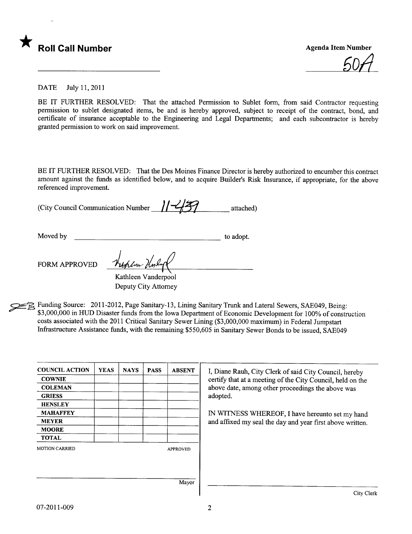

6011

DATE July 11,2011

BE IT FURTHER RESOLVED: That the attached Permission to Sublet form, from said Contractor requesting permission to sublet designated items, be and is hereby approved, subject to receipt of the contract, bond, and certificate of insurance acceptable to the Engineering and Legal Departments; and each subcontractor is hereby granted permission to work on said improvement.

BE IT FURTHER RESOLVED: That the Des Moines Finance Director is hereby authorized to encumber this contract amount against the funds as identified below, and to acquire Builder's Risk Insurance, if appropriate, for the above referenced improvement.

(City Council Communication Number  $1/ \frac{1}{2}$  attached)

Moved by to adopt.

FORM APPROVED

Kathleen Vanderpool Deputy City Attorney

Funding Source: 2011-2012, Page Sanitary-13, Lining Sanitary Trunk and Lateral Sewers, SAE049, Being: \$3,000,000 in HUD Disaster funds from the Iowa Department of Economic Development for 100% of construction costs associated with the 2011 Critical Sanitary Sewer Lining (\$3,000,000 maximum) in Federal Jumpstart Infrastructure Assistance funds, with the remaining \$550,605 in Sanitary Sewer Bonds to be issued, SAE049

| <b>COUNCIL ACTION</b> | <b>YEAS</b> | <b>NAYS</b> | <b>PASS</b> | <b>ABSENT</b>   | I, Diane Rauh, City Clerk of said City Council, hereby<br>certify that at a meeting of the City Council, held on the<br>above date, among other proceedings the above was |  |
|-----------------------|-------------|-------------|-------------|-----------------|---------------------------------------------------------------------------------------------------------------------------------------------------------------------------|--|
| <b>COWNIE</b>         |             |             |             |                 |                                                                                                                                                                           |  |
| <b>COLEMAN</b>        |             |             |             |                 |                                                                                                                                                                           |  |
| <b>GRIESS</b>         |             |             |             |                 | adopted.                                                                                                                                                                  |  |
| <b>HENSLEY</b>        |             |             |             |                 |                                                                                                                                                                           |  |
| <b>MAHAFFEY</b>       |             |             |             |                 | IN WITNESS WHEREOF, I have hereunto set my hand                                                                                                                           |  |
| <b>MEYER</b>          |             |             |             |                 | and affixed my seal the day and year first above written.                                                                                                                 |  |
| <b>MOORE</b>          |             |             |             |                 |                                                                                                                                                                           |  |
| <b>TOTAL</b>          |             |             |             |                 |                                                                                                                                                                           |  |
| <b>MOTION CARRIED</b> |             |             |             | <b>APPROVED</b> |                                                                                                                                                                           |  |
|                       |             |             |             |                 |                                                                                                                                                                           |  |
|                       |             |             |             |                 |                                                                                                                                                                           |  |
|                       |             |             |             |                 |                                                                                                                                                                           |  |
|                       |             |             |             | Mayor           |                                                                                                                                                                           |  |
|                       |             |             |             |                 |                                                                                                                                                                           |  |